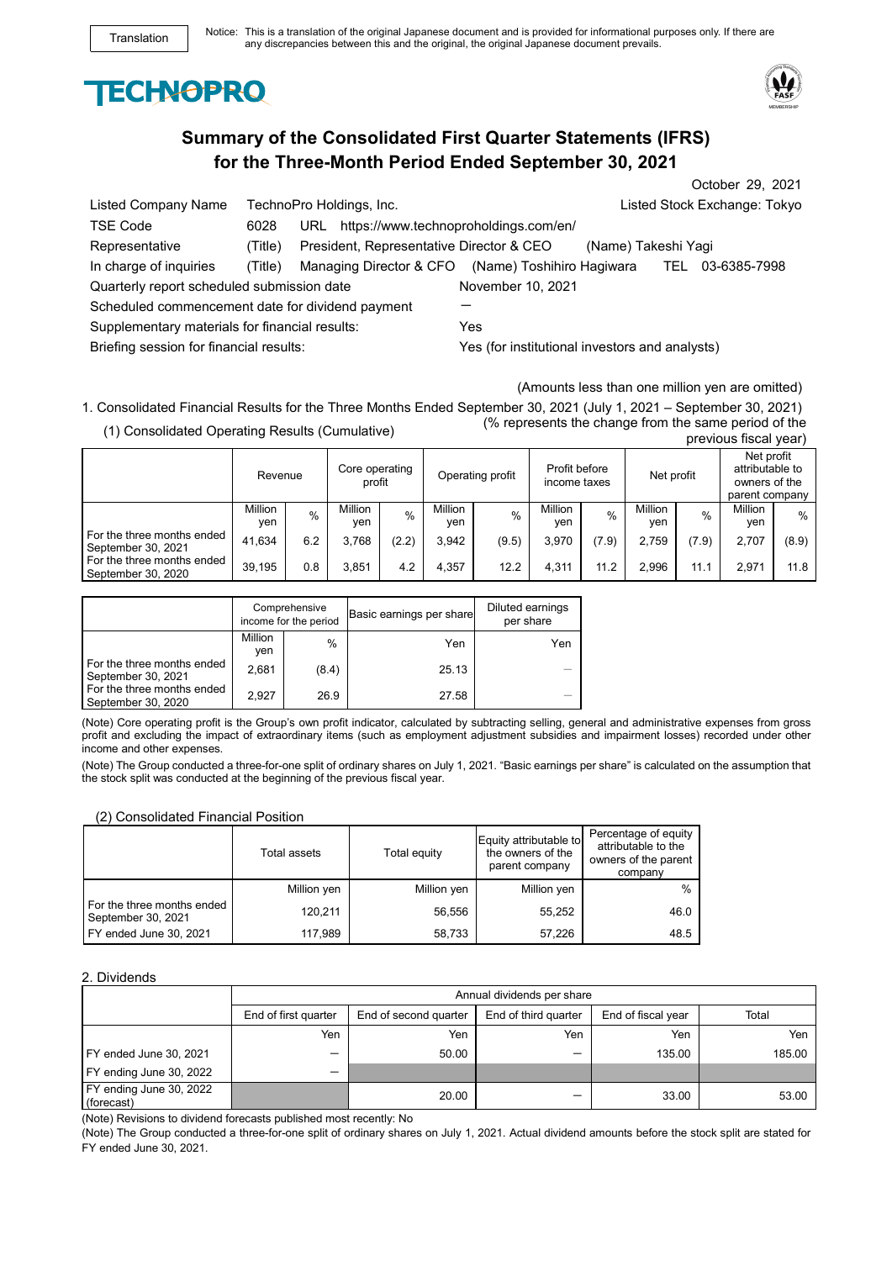



# **Summary of the Consolidated First Quarter Statements (IFRS) for the Three-Month Period Ended September 30, 2021**

|                                                  |         |                                           |                                                |                     |      | October 29, 2021             |
|--------------------------------------------------|---------|-------------------------------------------|------------------------------------------------|---------------------|------|------------------------------|
| Listed Company Name                              |         | TechnoPro Holdings, Inc.                  |                                                |                     |      | Listed Stock Exchange: Tokyo |
| <b>TSE Code</b>                                  | 6028    | URL https://www.technoproholdings.com/en/ |                                                |                     |      |                              |
| Representative                                   | (Title) | President, Representative Director & CEO  |                                                | (Name) Takeshi Yagi |      |                              |
| In charge of inquiries                           | (Title) | Managing Director & CFO                   | (Name) Toshihiro Hagiwara                      |                     | TEL. | 03-6385-7998                 |
| Quarterly report scheduled submission date       |         |                                           | November 10, 2021                              |                     |      |                              |
| Scheduled commencement date for dividend payment |         |                                           |                                                |                     |      |                              |
| Supplementary materials for financial results:   |         |                                           | Yes                                            |                     |      |                              |
| Briefing session for financial results:          |         |                                           | Yes (for institutional investors and analysts) |                     |      |                              |

(Amounts less than one million yen are omitted)

1. Consolidated Financial Results for the Three Months Ended September 30, 2021 (July 1, 2021 – September 30, 2021) (1) Consolidated Operating Results (Cumulative) previous fiscal year)

|                                                  | Revenue        |      | Core operating<br>profit |       | Operating profit |       | Profit before<br>income taxes |       | Net profit            |       | Net profit<br>attributable to<br>owners of the<br>parent company |       |
|--------------------------------------------------|----------------|------|--------------------------|-------|------------------|-------|-------------------------------|-------|-----------------------|-------|------------------------------------------------------------------|-------|
|                                                  | Million<br>yen | $\%$ | Million<br>ven           | $\%$  | Million<br>ven   | $\%$  | Million<br>ven                | $\%$  | <b>Million</b><br>yen | $\%$  | <b>Million</b><br>yen                                            | %     |
| For the three months ended<br>September 30, 2021 | 41.634         | 6.2  | 3.768                    | (2.2) | 3.942            | (9.5) | 3.970                         | (7.9) | 2.759                 | (7.9) | 2.707                                                            | (8.9) |
| For the three months ended<br>September 30, 2020 | 39.195         | 0.8  | 3.851                    | 4.2   | 4.357            | 12.2  | 4,311                         | 11.2  | 2.996                 | 11.1  | 2.971                                                            | 11.8  |

|                                                  | Comprehensive<br>income for the period |               | Basic earnings per share | Diluted earnings<br>per share |  |
|--------------------------------------------------|----------------------------------------|---------------|--------------------------|-------------------------------|--|
|                                                  | Million<br>ven                         | $\frac{0}{0}$ | Yen                      | Yen                           |  |
| For the three months ended<br>September 30, 2021 | 2.681                                  | (8.4)         | 25.13                    |                               |  |
| For the three months ended<br>September 30, 2020 | 2.927                                  | 26.9          | 27.58                    |                               |  |

(Note) Core operating profit is the Group's own profit indicator, calculated by subtracting selling, general and administrative expenses from gross profit and excluding the impact of extraordinary items (such as employment adjustment subsidies and impairment losses) recorded under other income and other expenses.

(Note) The Group conducted a three-for-one split of ordinary shares on July 1, 2021. "Basic earnings per share" is calculated on the assumption that the stock split was conducted at the beginning of the previous fiscal year.

## (2) Consolidated Financial Position

|                                                  | Total assets | Total equity | Equity attributable to<br>the owners of the<br>parent company | Percentage of equity<br>attributable to the<br>owners of the parent<br>company |
|--------------------------------------------------|--------------|--------------|---------------------------------------------------------------|--------------------------------------------------------------------------------|
|                                                  | Million yen  | Million yen  | Million yen                                                   | %                                                                              |
| For the three months ended<br>September 30, 2021 | 120.211      | 56.556       | 55,252                                                        | 46.0                                                                           |
| FY ended June 30, 2021                           | 117.989      | 58.733       | 57,226                                                        | 48.5                                                                           |

#### 2. Dividends

|                                       | Annual dividends per share |                       |                      |                    |        |  |  |
|---------------------------------------|----------------------------|-----------------------|----------------------|--------------------|--------|--|--|
|                                       | End of first quarter       | End of second quarter | End of third quarter | End of fiscal year | Total  |  |  |
|                                       | Yen                        | Yen                   | Yen                  | Yen                | Yen    |  |  |
| FY ended June 30, 2021                |                            | 50.00                 | -                    | 135.00             | 185.00 |  |  |
| FY ending June 30, 2022               |                            |                       |                      |                    |        |  |  |
| FY ending June 30, 2022<br>(forecast) |                            | 20.00                 | -                    | 33.00              | 53.00  |  |  |

(Note) Revisions to dividend forecasts published most recently: No

(Note) The Group conducted a three-for-one split of ordinary shares on July 1, 2021. Actual dividend amounts before the stock split are stated for FY ended June 30, 2021.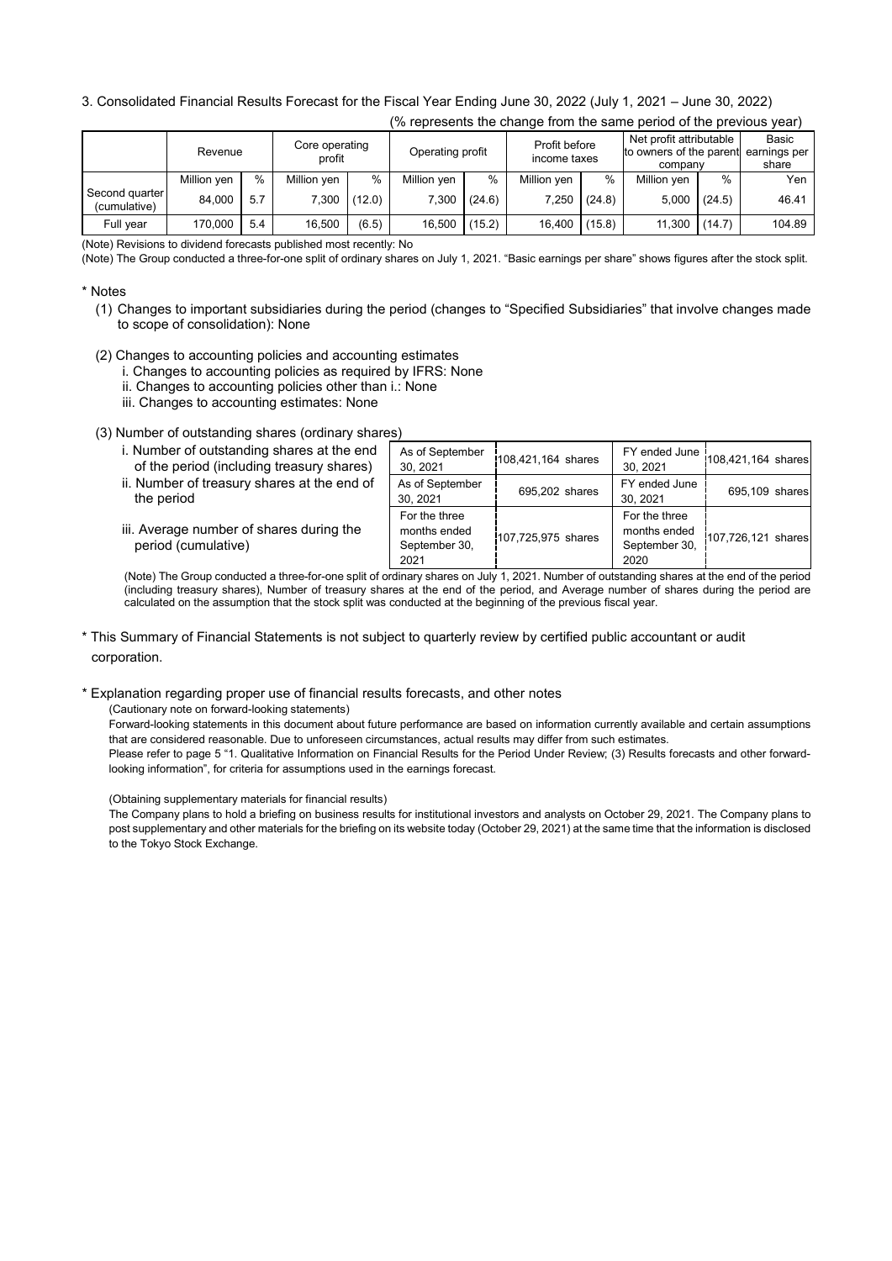## 3. Consolidated Financial Results Forecast for the Fiscal Year Ending June 30, 2022 (July 1, 2021 – June 30, 2022)

| (% represents the change from the same period of the previous year) |             |     |                          |        |                  |        |                               |        |                                                                            |        |                |
|---------------------------------------------------------------------|-------------|-----|--------------------------|--------|------------------|--------|-------------------------------|--------|----------------------------------------------------------------------------|--------|----------------|
|                                                                     | Revenue     |     | Core operating<br>profit |        | Operating profit |        | Profit before<br>income taxes |        | Net profit attributable<br>to owners of the parent earnings per<br>company |        | Basic<br>share |
|                                                                     | Million yen | %   | Million yen              | %      | Million yen      | $\%$   | Million yen                   | $\%$   | Million yen                                                                | $\%$   | Yen            |
| Second quarter<br>(cumulative)                                      | 84,000      | 5.7 | 7.300                    | (12.0) | 7,300            | (24.6) | 7,250                         | (24.8) | 5.000                                                                      | (24.5) | 46.41          |
| Full year                                                           | 170,000     | 5.4 | 16.500                   | (6.5)  | 16,500           | (15.2) | 16,400                        | (15.8) | 11,300                                                                     | (14.7) | 104.89         |

(Note) Revisions to dividend forecasts published most recently: No

(Note) The Group conducted a three-for-one split of ordinary shares on July 1, 2021. "Basic earnings per share" shows figures after the stock split.

## \* Notes

- (1) Changes to important subsidiaries during the period (changes to "Specified Subsidiaries" that involve changes made to scope of consolidation): None
- (2) Changes to accounting policies and accounting estimates
	- i. Changes to accounting policies as required by IFRS: None
	- ii. Changes to accounting policies other than i.: None
	- iii. Changes to accounting estimates: None

(3) Number of outstanding shares (ordinary shares)

| i. Number of outstanding shares at the end<br>of the period (including treasury shares) | As of September<br>30.2021                             | 108,421,164 shares | 30.2021                                                | FY ended June $ 108,421,164$ shares |
|-----------------------------------------------------------------------------------------|--------------------------------------------------------|--------------------|--------------------------------------------------------|-------------------------------------|
| ii. Number of treasury shares at the end of<br>the period                               | As of September<br>30.2021                             | 695,202 shares     | FY ended June<br>30.2021                               | 695,109 shares                      |
| iii. Average number of shares during the<br>period (cumulative)                         | For the three<br>months ended<br>September 30,<br>2021 | 107,725,975 shares | For the three<br>months ended<br>September 30,<br>2020 | 107,726,121 shares                  |

(Note) The Group conducted a three-for-one split of ordinary shares on July 1, 2021. Number of outstanding shares at the end of the period (including treasury shares), Number of treasury shares at the end of the period, and Average number of shares during the period are calculated on the assumption that the stock split was conducted at the beginning of the previous fiscal year.

\* This Summary of Financial Statements is not subject to quarterly review by certified public accountant or audit corporation.

\* Explanation regarding proper use of financial results forecasts, and other notes

(Cautionary note on forward-looking statements)

Forward-looking statements in this document about future performance are based on information currently available and certain assumptions that are considered reasonable. Due to unforeseen circumstances, actual results may differ from such estimates. Please refer to page 5 "1. Qualitative Information on Financial Results for the Period Under Review; (3) Results forecasts and other forwardlooking information", for criteria for assumptions used in the earnings forecast.

(Obtaining supplementary materials for financial results)

The Company plans to hold a briefing on business results for institutional investors and analysts on October 29, 2021. The Company plans to post supplementary and other materials for the briefing on its website today (October 29, 2021) at the same time that the information is disclosed to the Tokyo Stock Exchange.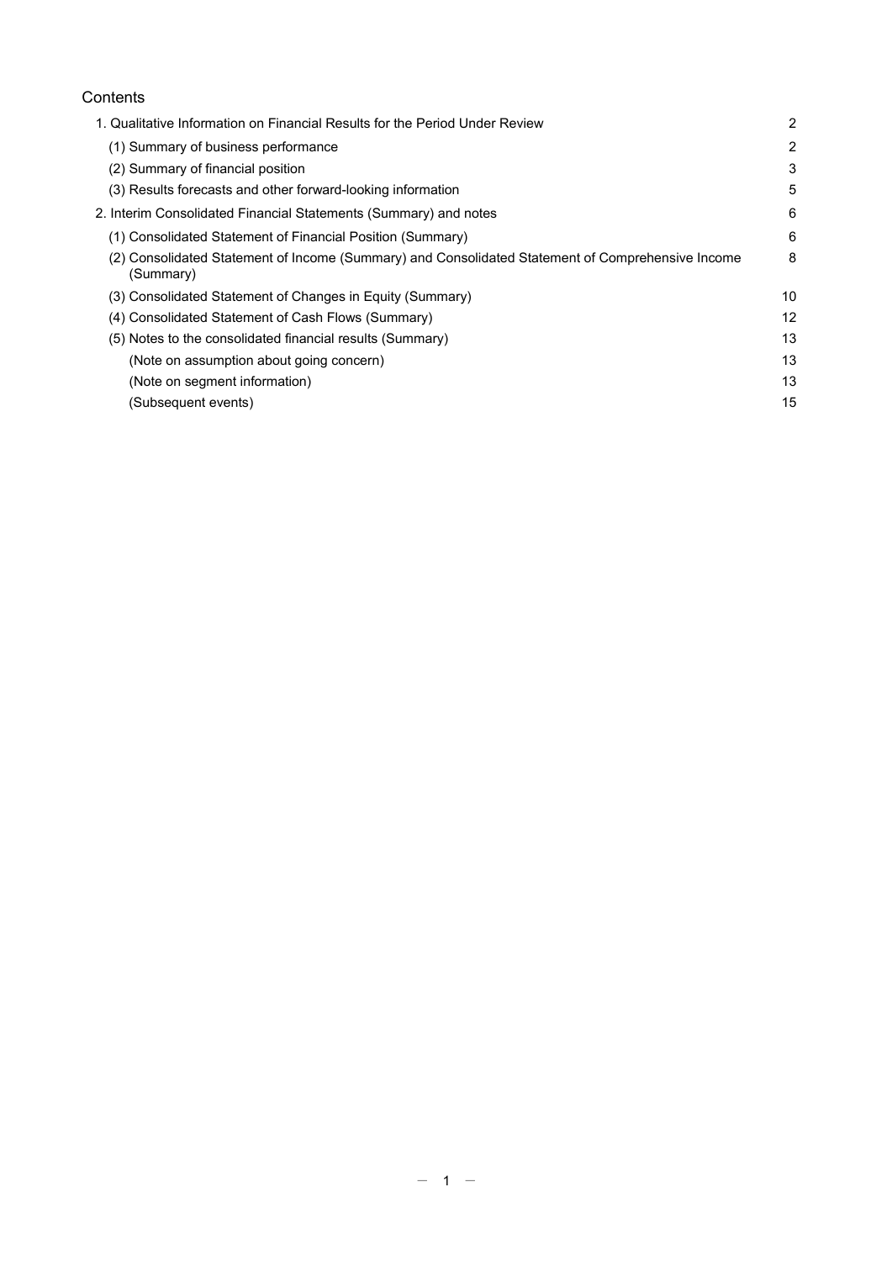# **Contents**

| (1) Summary of business performance                                                                            | $\overline{2}$ |
|----------------------------------------------------------------------------------------------------------------|----------------|
| (2) Summary of financial position                                                                              | 3              |
| (3) Results forecasts and other forward-looking information                                                    | 5              |
| 2. Interim Consolidated Financial Statements (Summary) and notes                                               | 6              |
| (1) Consolidated Statement of Financial Position (Summary)                                                     | 6              |
| (2) Consolidated Statement of Income (Summary) and Consolidated Statement of Comprehensive Income<br>(Summary) | 8              |
| (3) Consolidated Statement of Changes in Equity (Summary)                                                      | 10             |
| (4) Consolidated Statement of Cash Flows (Summary)                                                             | 12             |
| (5) Notes to the consolidated financial results (Summary)                                                      | 13             |
| (Note on assumption about going concern)                                                                       | 13             |
| (Note on segment information)                                                                                  | 13             |
| (Subsequent events)                                                                                            | 15             |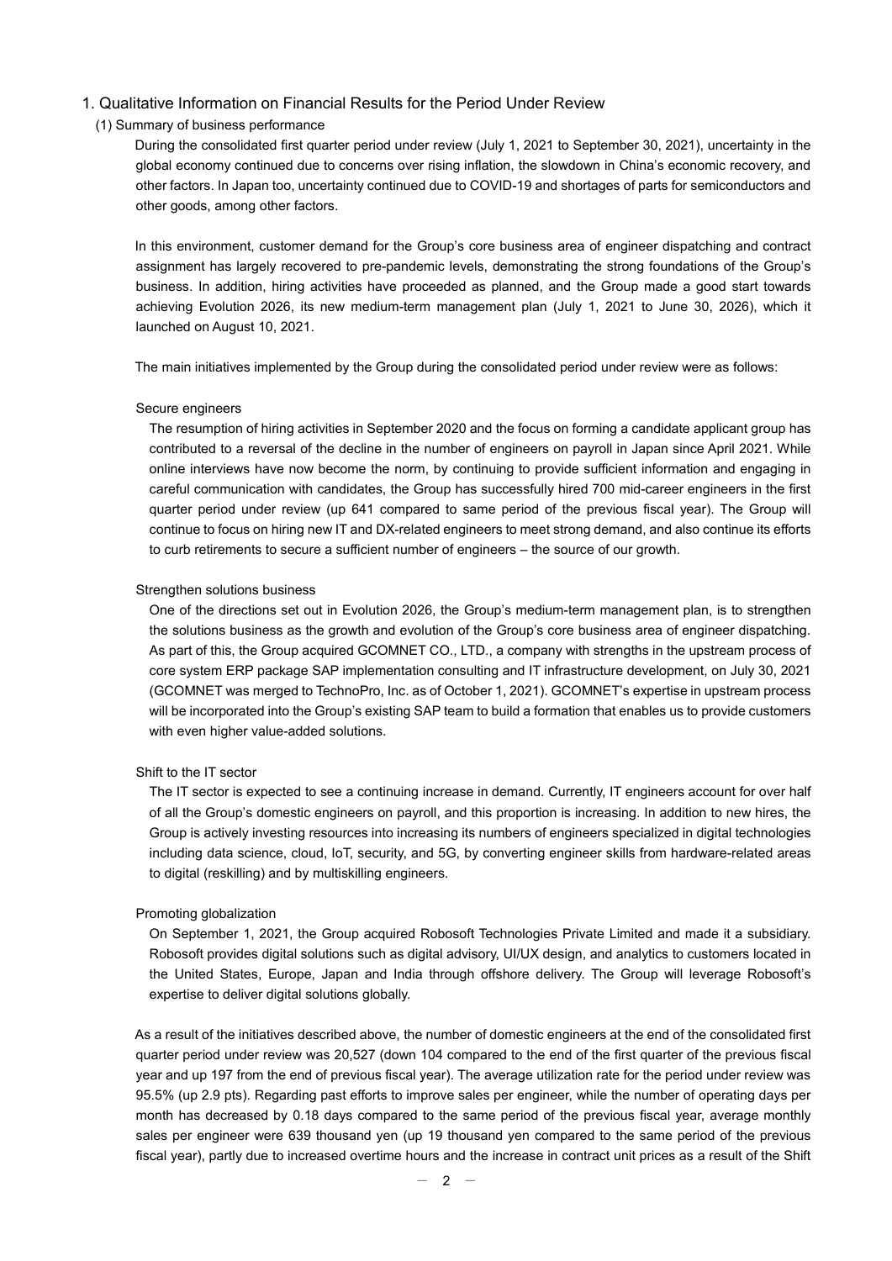### 1. Qualitative Information on Financial Results for the Period Under Review

### (1) Summary of business performance

During the consolidated first quarter period under review (July 1, 2021 to September 30, 2021), uncertainty in the global economy continued due to concerns over rising inflation, the slowdown in China's economic recovery, and other factors. In Japan too, uncertainty continued due to COVID-19 and shortages of parts for semiconductors and other goods, among other factors.

In this environment, customer demand for the Group's core business area of engineer dispatching and contract assignment has largely recovered to pre-pandemic levels, demonstrating the strong foundations of the Group's business. In addition, hiring activities have proceeded as planned, and the Group made a good start towards achieving Evolution 2026, its new medium-term management plan (July 1, 2021 to June 30, 2026), which it launched on August 10, 2021.

The main initiatives implemented by the Group during the consolidated period under review were as follows:

#### Secure engineers

The resumption of hiring activities in September 2020 and the focus on forming a candidate applicant group has contributed to a reversal of the decline in the number of engineers on payroll in Japan since April 2021. While online interviews have now become the norm, by continuing to provide sufficient information and engaging in careful communication with candidates, the Group has successfully hired 700 mid-career engineers in the first quarter period under review (up 641 compared to same period of the previous fiscal year). The Group will continue to focus on hiring new IT and DX-related engineers to meet strong demand, and also continue its efforts to curb retirements to secure a sufficient number of engineers – the source of our growth.

#### Strengthen solutions business

One of the directions set out in Evolution 2026, the Group's medium-term management plan, is to strengthen the solutions business as the growth and evolution of the Group's core business area of engineer dispatching. As part of this, the Group acquired GCOMNET CO., LTD., a company with strengths in the upstream process of core system ERP package SAP implementation consulting and IT infrastructure development, on July 30, 2021 (GCOMNET was merged to TechnoPro, Inc. as of October 1, 2021). GCOMNET's expertise in upstream process will be incorporated into the Group's existing SAP team to build a formation that enables us to provide customers with even higher value-added solutions.

#### Shift to the IT sector

The IT sector is expected to see a continuing increase in demand. Currently, IT engineers account for over half of all the Group's domestic engineers on payroll, and this proportion is increasing. In addition to new hires, the Group is actively investing resources into increasing its numbers of engineers specialized in digital technologies including data science, cloud, IoT, security, and 5G, by converting engineer skills from hardware-related areas to digital (reskilling) and by multiskilling engineers.

#### Promoting globalization

On September 1, 2021, the Group acquired Robosoft Technologies Private Limited and made it a subsidiary. Robosoft provides digital solutions such as digital advisory, UI/UX design, and analytics to customers located in the United States, Europe, Japan and India through offshore delivery. The Group will leverage Robosoft's expertise to deliver digital solutions globally.

As a result of the initiatives described above, the number of domestic engineers at the end of the consolidated first quarter period under review was 20,527 (down 104 compared to the end of the first quarter of the previous fiscal year and up 197 from the end of previous fiscal year). The average utilization rate for the period under review was 95.5% (up 2.9 pts). Regarding past efforts to improve sales per engineer, while the number of operating days per month has decreased by 0.18 days compared to the same period of the previous fiscal year, average monthly sales per engineer were 639 thousand yen (up 19 thousand yen compared to the same period of the previous fiscal year), partly due to increased overtime hours and the increase in contract unit prices as a result of the Shift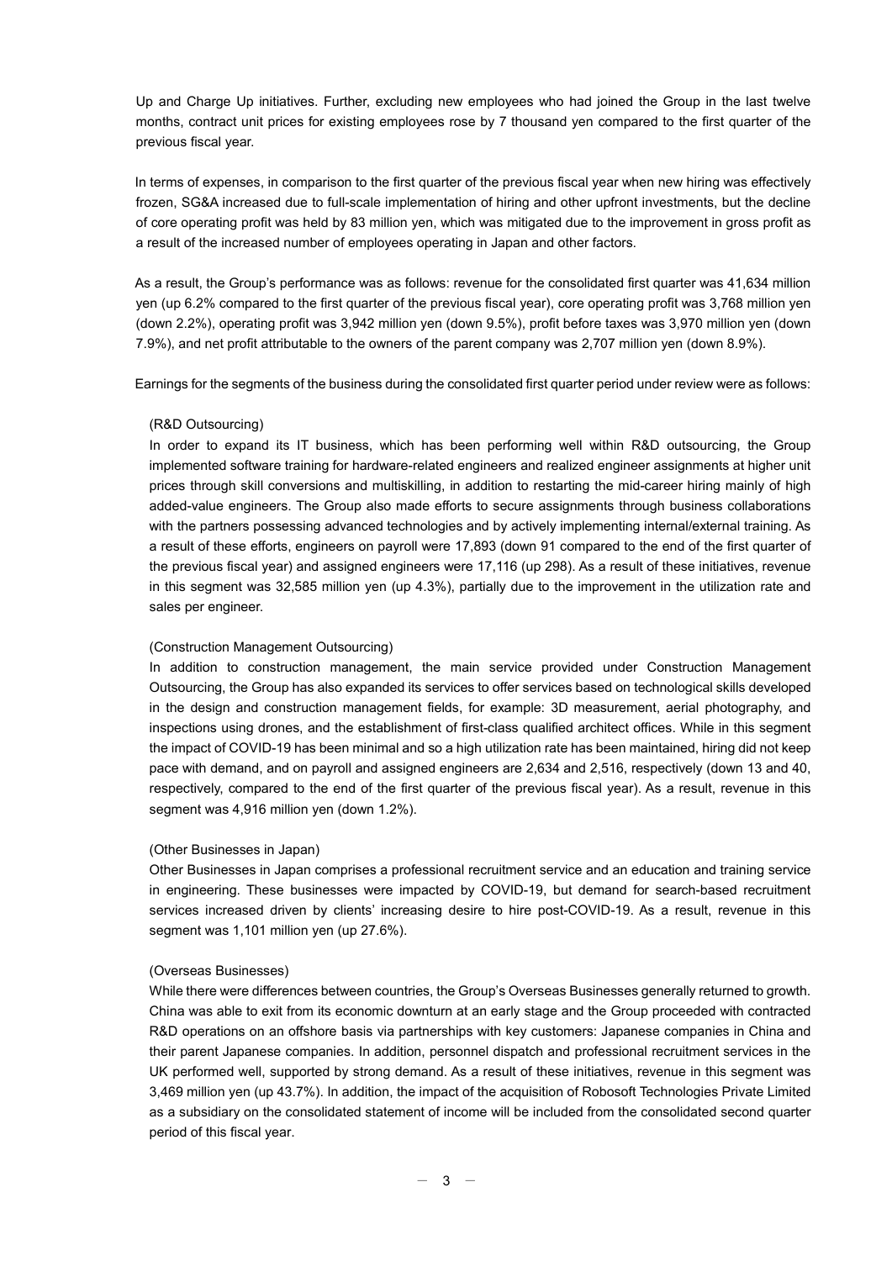Up and Charge Up initiatives. Further, excluding new employees who had joined the Group in the last twelve months, contract unit prices for existing employees rose by 7 thousand yen compared to the first quarter of the previous fiscal year.

In terms of expenses, in comparison to the first quarter of the previous fiscal year when new hiring was effectively frozen, SG&A increased due to full-scale implementation of hiring and other upfront investments, but the decline of core operating profit was held by 83 million yen, which was mitigated due to the improvement in gross profit as a result of the increased number of employees operating in Japan and other factors.

As a result, the Group's performance was as follows: revenue for the consolidated first quarter was 41,634 million yen (up 6.2% compared to the first quarter of the previous fiscal year), core operating profit was 3,768 million yen (down 2.2%), operating profit was 3,942 million yen (down 9.5%), profit before taxes was 3,970 million yen (down 7.9%), and net profit attributable to the owners of the parent company was 2,707 million yen (down 8.9%).

Earnings for the segments of the business during the consolidated first quarter period under review were as follows:

#### (R&D Outsourcing)

In order to expand its IT business, which has been performing well within R&D outsourcing, the Group implemented software training for hardware-related engineers and realized engineer assignments at higher unit prices through skill conversions and multiskilling, in addition to restarting the mid-career hiring mainly of high added-value engineers. The Group also made efforts to secure assignments through business collaborations with the partners possessing advanced technologies and by actively implementing internal/external training. As a result of these efforts, engineers on payroll were 17,893 (down 91 compared to the end of the first quarter of the previous fiscal year) and assigned engineers were 17,116 (up 298). As a result of these initiatives, revenue in this segment was 32,585 million yen (up 4.3%), partially due to the improvement in the utilization rate and sales per engineer.

## (Construction Management Outsourcing)

In addition to construction management, the main service provided under Construction Management Outsourcing, the Group has also expanded its services to offer services based on technological skills developed in the design and construction management fields, for example: 3D measurement, aerial photography, and inspections using drones, and the establishment of first-class qualified architect offices. While in this segment the impact of COVID-19 has been minimal and so a high utilization rate has been maintained, hiring did not keep pace with demand, and on payroll and assigned engineers are 2,634 and 2,516, respectively (down 13 and 40, respectively, compared to the end of the first quarter of the previous fiscal year). As a result, revenue in this segment was 4,916 million yen (down 1.2%).

#### (Other Businesses in Japan)

Other Businesses in Japan comprises a professional recruitment service and an education and training service in engineering. These businesses were impacted by COVID-19, but demand for search-based recruitment services increased driven by clients' increasing desire to hire post-COVID-19. As a result, revenue in this segment was 1,101 million yen (up 27.6%).

### (Overseas Businesses)

While there were differences between countries, the Group's Overseas Businesses generally returned to growth. China was able to exit from its economic downturn at an early stage and the Group proceeded with contracted R&D operations on an offshore basis via partnerships with key customers: Japanese companies in China and their parent Japanese companies. In addition, personnel dispatch and professional recruitment services in the UK performed well, supported by strong demand. As a result of these initiatives, revenue in this segment was 3,469 million yen (up 43.7%). In addition, the impact of the acquisition of Robosoft Technologies Private Limited as a subsidiary on the consolidated statement of income will be included from the consolidated second quarter period of this fiscal year.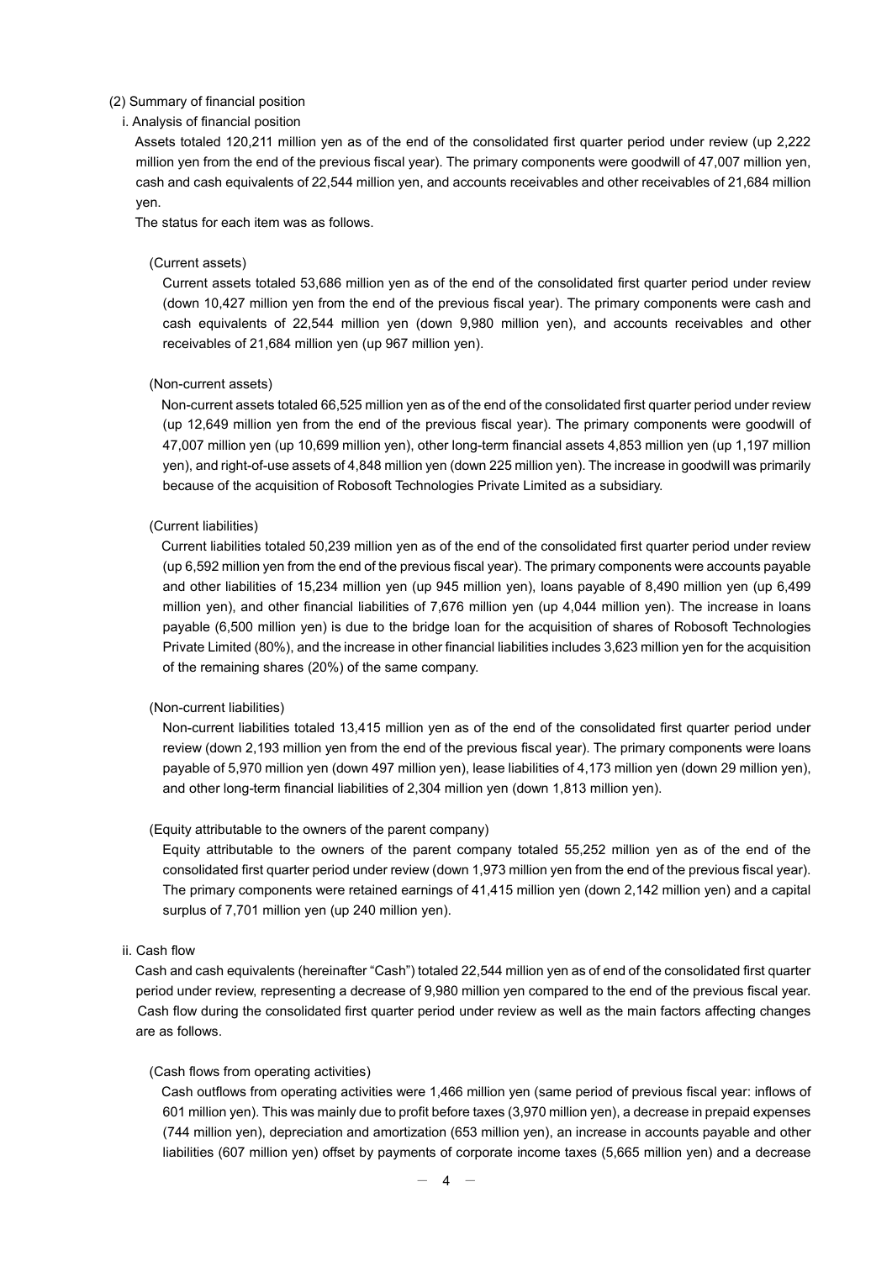### (2) Summary of financial position

## i. Analysis of financial position

Assets totaled 120,211 million yen as of the end of the consolidated first quarter period under review (up 2,222 million yen from the end of the previous fiscal year). The primary components were goodwill of 47,007 million yen, cash and cash equivalents of 22,544 million yen, and accounts receivables and other receivables of 21,684 million yen.

The status for each item was as follows.

## (Current assets)

Current assets totaled 53,686 million yen as of the end of the consolidated first quarter period under review (down 10,427 million yen from the end of the previous fiscal year). The primary components were cash and cash equivalents of 22,544 million yen (down 9,980 million yen), and accounts receivables and other receivables of 21,684 million yen (up 967 million yen).

#### (Non-current assets)

Non-current assets totaled 66,525 million yen as of the end of the consolidated first quarter period under review (up 12,649 million yen from the end of the previous fiscal year). The primary components were goodwill of 47,007 million yen (up 10,699 million yen), other long-term financial assets 4,853 million yen (up 1,197 million yen), and right-of-use assets of 4,848 million yen (down 225 million yen). The increase in goodwill was primarily because of the acquisition of Robosoft Technologies Private Limited as a subsidiary.

## (Current liabilities)

Current liabilities totaled 50,239 million yen as of the end of the consolidated first quarter period under review (up 6,592 million yen from the end of the previous fiscal year). The primary components were accounts payable and other liabilities of 15,234 million yen (up 945 million yen), loans payable of 8,490 million yen (up 6,499 million yen), and other financial liabilities of 7,676 million yen (up 4,044 million yen). The increase in loans payable (6,500 million yen) is due to the bridge loan for the acquisition of shares of Robosoft Technologies Private Limited (80%), and the increase in other financial liabilities includes 3,623 million yen for the acquisition of the remaining shares (20%) of the same company.

#### (Non-current liabilities)

Non-current liabilities totaled 13,415 million yen as of the end of the consolidated first quarter period under review (down 2,193 million yen from the end of the previous fiscal year). The primary components were loans payable of 5,970 million yen (down 497 million yen), lease liabilities of 4,173 million yen (down 29 million yen), and other long-term financial liabilities of 2,304 million yen (down 1,813 million yen).

#### (Equity attributable to the owners of the parent company)

Equity attributable to the owners of the parent company totaled 55,252 million yen as of the end of the consolidated first quarter period under review (down 1,973 million yen from the end of the previous fiscal year). The primary components were retained earnings of 41,415 million yen (down 2,142 million yen) and a capital surplus of 7,701 million yen (up 240 million yen).

#### ii. Cash flow

Cash and cash equivalents (hereinafter "Cash") totaled 22,544 million yen as of end of the consolidated first quarter period under review, representing a decrease of 9,980 million yen compared to the end of the previous fiscal year. Cash flow during the consolidated first quarter period under review as well as the main factors affecting changes are as follows.

#### (Cash flows from operating activities)

Cash outflows from operating activities were 1,466 million yen (same period of previous fiscal year: inflows of 601 million yen). This was mainly due to profit before taxes (3,970 million yen), a decrease in prepaid expenses (744 million yen), depreciation and amortization (653 million yen), an increase in accounts payable and other liabilities (607 million yen) offset by payments of corporate income taxes (5,665 million yen) and a decrease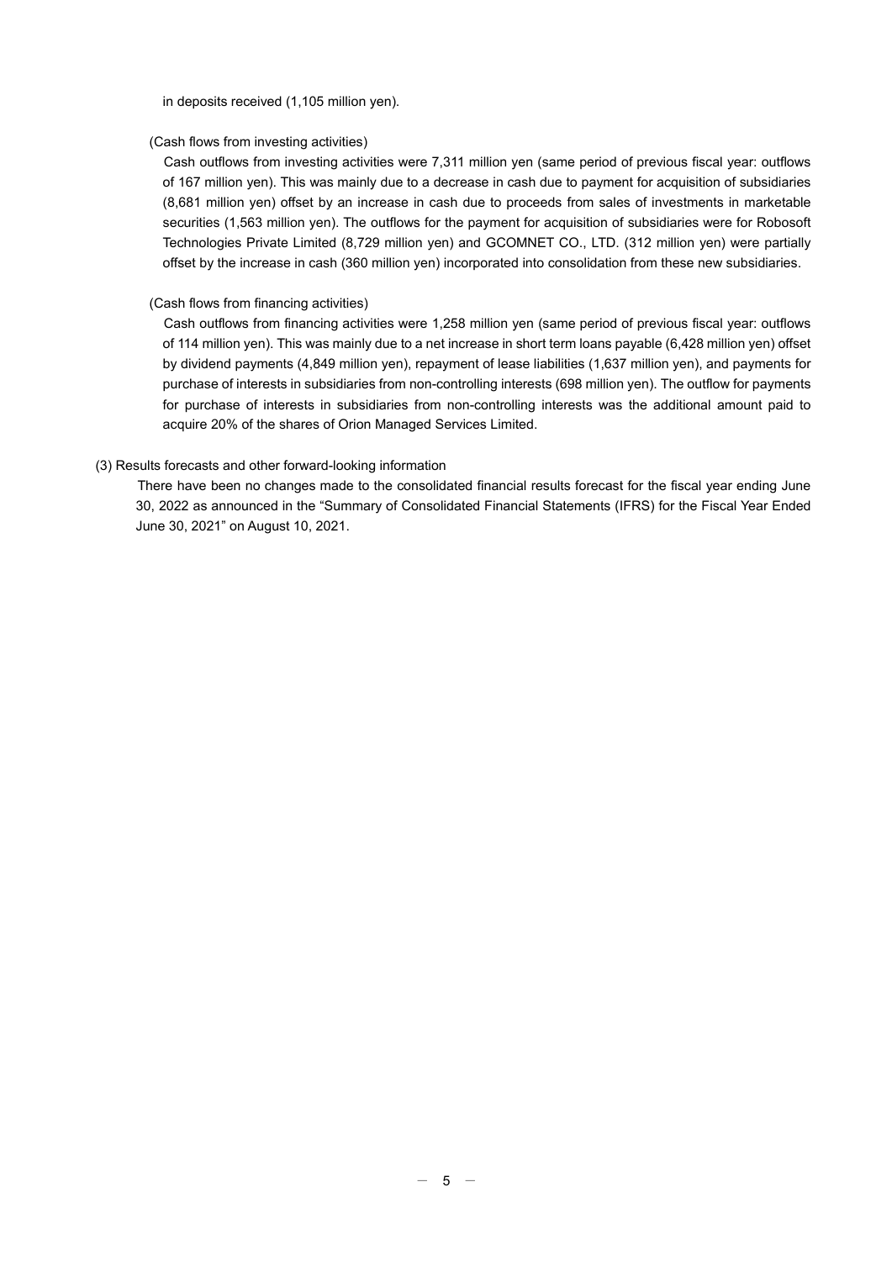in deposits received (1,105 million yen).

## (Cash flows from investing activities)

Cash outflows from investing activities were 7,311 million yen (same period of previous fiscal year: outflows of 167 million yen). This was mainly due to a decrease in cash due to payment for acquisition of subsidiaries (8,681 million yen) offset by an increase in cash due to proceeds from sales of investments in marketable securities (1,563 million yen). The outflows for the payment for acquisition of subsidiaries were for Robosoft Technologies Private Limited (8,729 million yen) and GCOMNET CO., LTD. (312 million yen) were partially offset by the increase in cash (360 million yen) incorporated into consolidation from these new subsidiaries.

## (Cash flows from financing activities)

Cash outflows from financing activities were 1,258 million yen (same period of previous fiscal year: outflows of 114 million yen). This was mainly due to a net increase in short term loans payable (6,428 million yen) offset by dividend payments (4,849 million yen), repayment of lease liabilities (1,637 million yen), and payments for purchase of interests in subsidiaries from non-controlling interests (698 million yen). The outflow for payments for purchase of interests in subsidiaries from non-controlling interests was the additional amount paid to acquire 20% of the shares of Orion Managed Services Limited.

## (3) Results forecasts and other forward-looking information

There have been no changes made to the consolidated financial results forecast for the fiscal year ending June 30, 2022 as announced in the "Summary of Consolidated Financial Statements (IFRS) for the Fiscal Year Ended June 30, 2021" on August 10, 2021.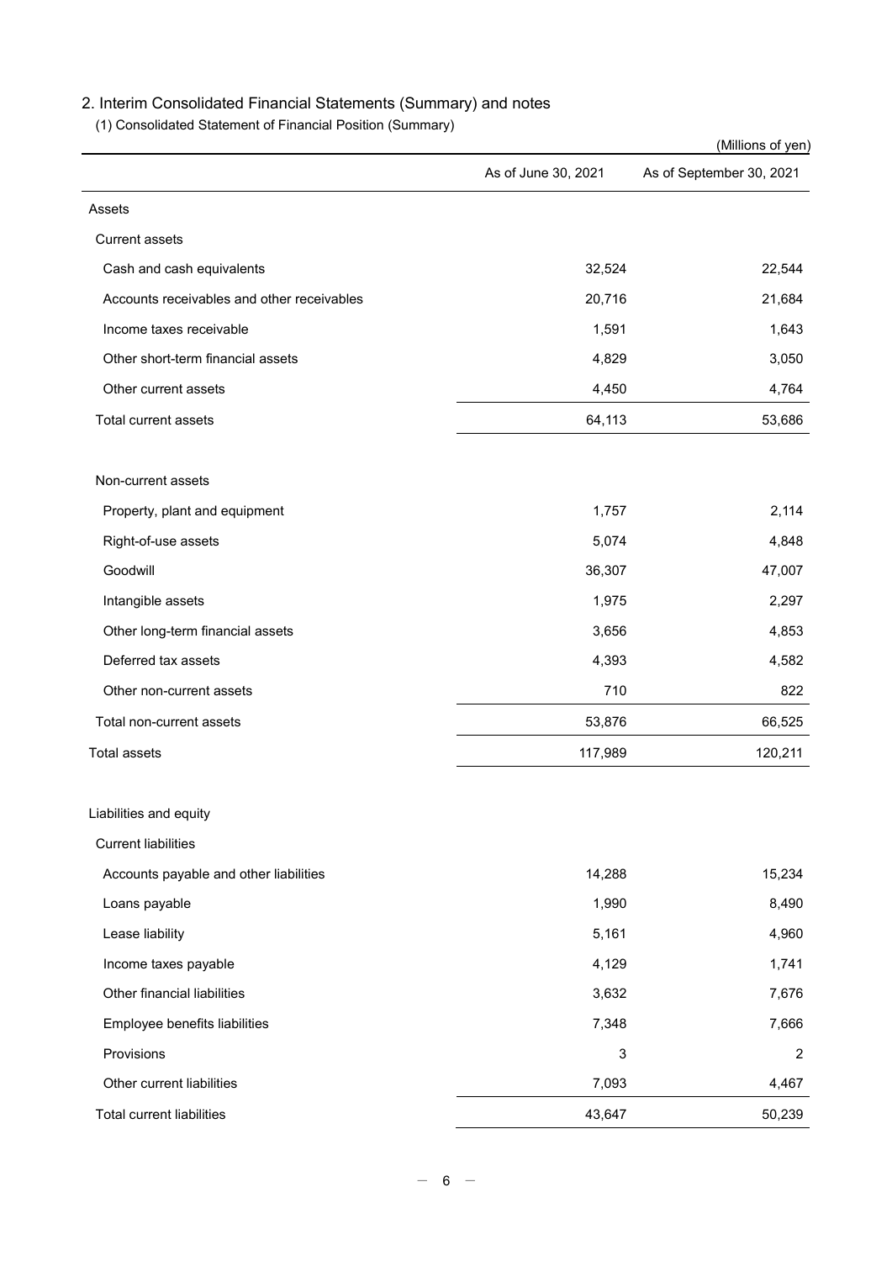# 2. Interim Consolidated Financial Statements (Summary) and notes

(1) Consolidated Statement of Financial Position (Summary)

|                                            |                     | (Millions of yen)        |
|--------------------------------------------|---------------------|--------------------------|
|                                            | As of June 30, 2021 | As of September 30, 2021 |
| Assets                                     |                     |                          |
| <b>Current assets</b>                      |                     |                          |
| Cash and cash equivalents                  | 32,524              | 22,544                   |
| Accounts receivables and other receivables | 20,716              | 21,684                   |
| Income taxes receivable                    | 1,591               | 1,643                    |
| Other short-term financial assets          | 4,829               | 3,050                    |
| Other current assets                       | 4,450               | 4,764                    |
| Total current assets                       | 64,113              | 53,686                   |
| Non-current assets                         |                     |                          |
| Property, plant and equipment              | 1,757               | 2,114                    |
| Right-of-use assets                        | 5,074               | 4,848                    |
| Goodwill                                   | 36,307              | 47,007                   |
| Intangible assets                          | 1,975               | 2,297                    |
| Other long-term financial assets           | 3,656               | 4,853                    |
| Deferred tax assets                        | 4,393               | 4,582                    |
| Other non-current assets                   | 710                 | 822                      |
| Total non-current assets                   | 53,876              | 66,525                   |
| <b>Total assets</b>                        | 117,989             | 120,211                  |
| Liabilities and equity                     |                     |                          |
| <b>Current liabilities</b>                 |                     |                          |
| Accounts payable and other liabilities     | 14,288              | 15,234                   |
| Loans payable                              | 1,990               | 8,490                    |
| Lease liability                            | 5,161               | 4,960                    |
| Income taxes payable                       | 4,129               | 1,741                    |
| Other financial liabilities                | 3,632               | 7,676                    |
| Employee benefits liabilities              | 7,348               | 7,666                    |
| Provisions                                 | $\mathsf 3$         | $\overline{2}$           |
| Other current liabilities                  | 7,093               | 4,467                    |
| <b>Total current liabilities</b>           | 43,647              | 50,239                   |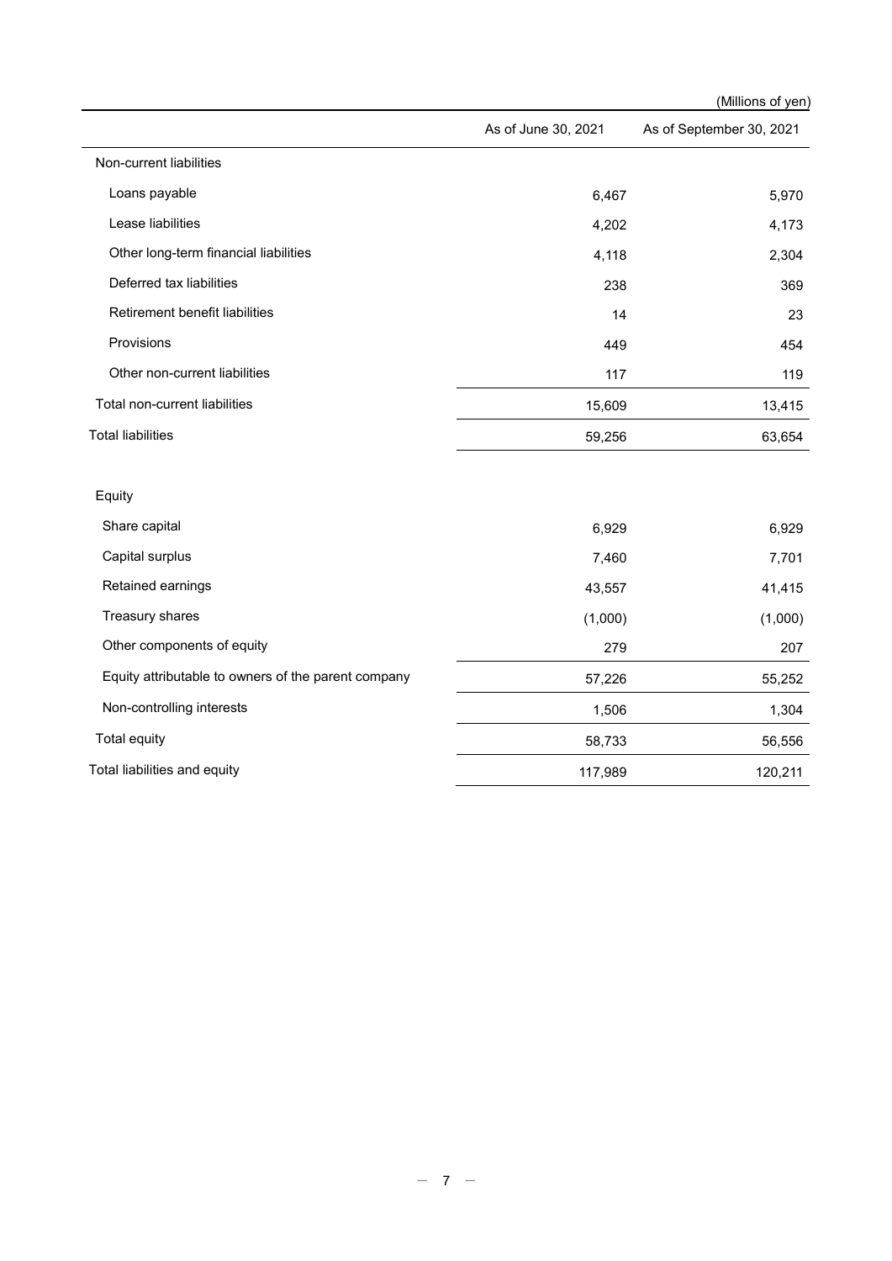|                                                     |                     | (Millions of yen)        |
|-----------------------------------------------------|---------------------|--------------------------|
|                                                     | As of June 30, 2021 | As of September 30, 2021 |
| Non-current liabilities                             |                     |                          |
| Loans payable                                       | 6,467               | 5,970                    |
| Lease liabilities                                   | 4,202               | 4,173                    |
| Other long-term financial liabilities               | 4,118               | 2,304                    |
| Deferred tax liabilities                            | 238                 | 369                      |
| Retirement benefit liabilities                      | 14                  | 23                       |
| Provisions                                          | 449                 | 454                      |
| Other non-current liabilities                       | 117                 | 119                      |
| Total non-current liabilities                       | 15,609              | 13,415                   |
| <b>Total liabilities</b>                            | 59,256              | 63,654                   |
| Equity                                              |                     |                          |
| Share capital                                       | 6,929               | 6,929                    |
| Capital surplus                                     | 7,460               | 7,701                    |
| Retained earnings                                   | 43,557              | 41,415                   |
| Treasury shares                                     | (1,000)             | (1,000)                  |
| Other components of equity                          | 279                 | 207                      |
| Equity attributable to owners of the parent company | 57,226              | 55,252                   |
| Non-controlling interests                           | 1,506               | 1,304                    |
| Total equity                                        | 58,733              | 56,556                   |
| Total liabilities and equity                        | 117,989             | 120,211                  |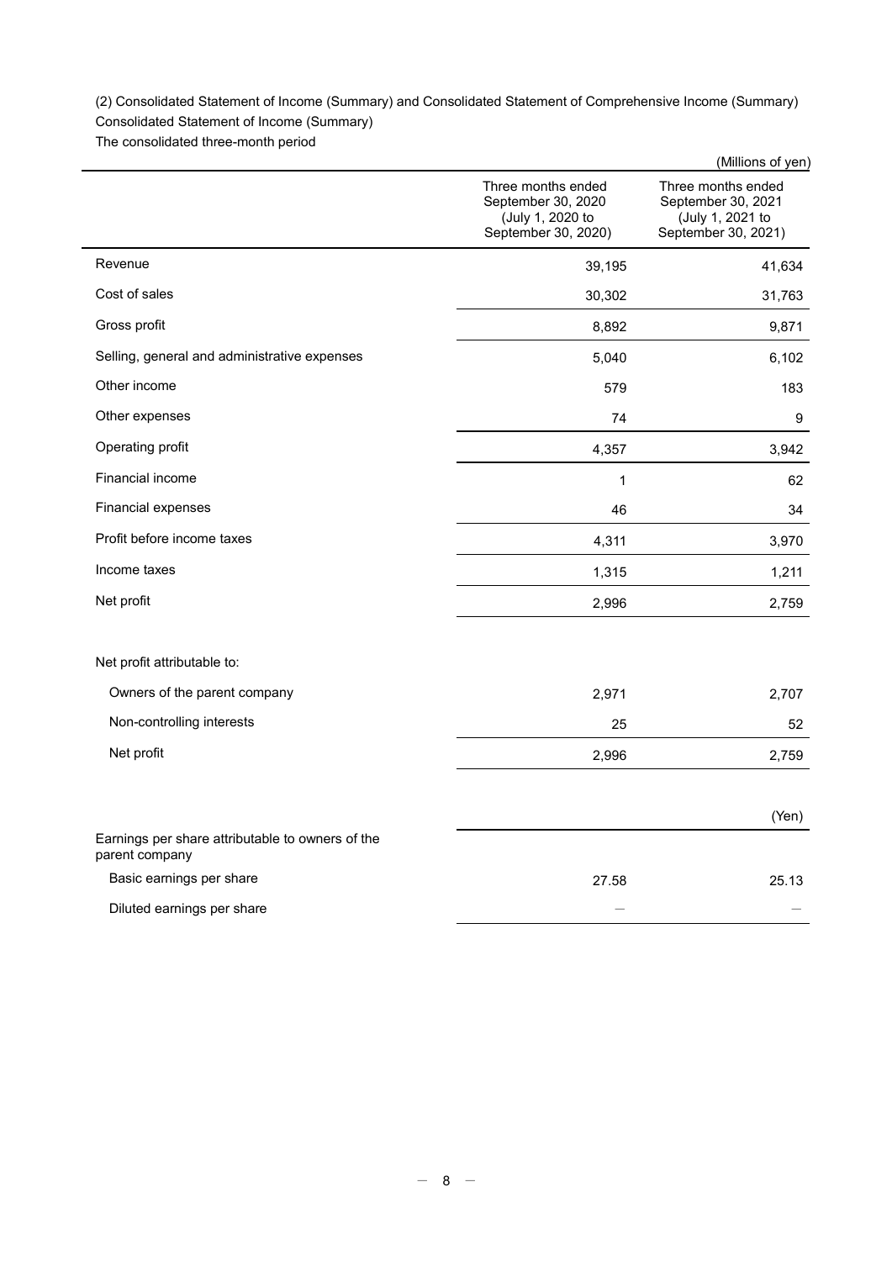(2) Consolidated Statement of Income (Summary) and Consolidated Statement of Comprehensive Income (Summary)

Consolidated Statement of Income (Summary)

The consolidated three-month period

|                                                                    |                                                                                     | (Millions of yen)                                                                   |
|--------------------------------------------------------------------|-------------------------------------------------------------------------------------|-------------------------------------------------------------------------------------|
|                                                                    | Three months ended<br>September 30, 2020<br>(July 1, 2020 to<br>September 30, 2020) | Three months ended<br>September 30, 2021<br>(July 1, 2021 to<br>September 30, 2021) |
| Revenue                                                            | 39,195                                                                              | 41,634                                                                              |
| Cost of sales                                                      | 30,302                                                                              | 31,763                                                                              |
| Gross profit                                                       | 8,892                                                                               | 9,871                                                                               |
| Selling, general and administrative expenses                       | 5,040                                                                               | 6,102                                                                               |
| Other income                                                       | 579                                                                                 | 183                                                                                 |
| Other expenses                                                     | 74                                                                                  | 9                                                                                   |
| Operating profit                                                   | 4,357                                                                               | 3,942                                                                               |
| Financial income                                                   | $\mathbf 1$                                                                         | 62                                                                                  |
| Financial expenses                                                 | 46                                                                                  | 34                                                                                  |
| Profit before income taxes                                         | 4,311                                                                               | 3,970                                                                               |
| Income taxes                                                       | 1,315                                                                               | 1,211                                                                               |
| Net profit                                                         | 2,996                                                                               | 2,759                                                                               |
| Net profit attributable to:                                        |                                                                                     |                                                                                     |
| Owners of the parent company                                       | 2,971                                                                               | 2,707                                                                               |
| Non-controlling interests                                          | 25                                                                                  | 52                                                                                  |
| Net profit                                                         | 2,996                                                                               | 2,759                                                                               |
|                                                                    |                                                                                     | (Yen)                                                                               |
| Earnings per share attributable to owners of the<br>parent company |                                                                                     |                                                                                     |
| Basic earnings per share                                           | 27.58                                                                               | 25.13                                                                               |
| Diluted earnings per share                                         |                                                                                     |                                                                                     |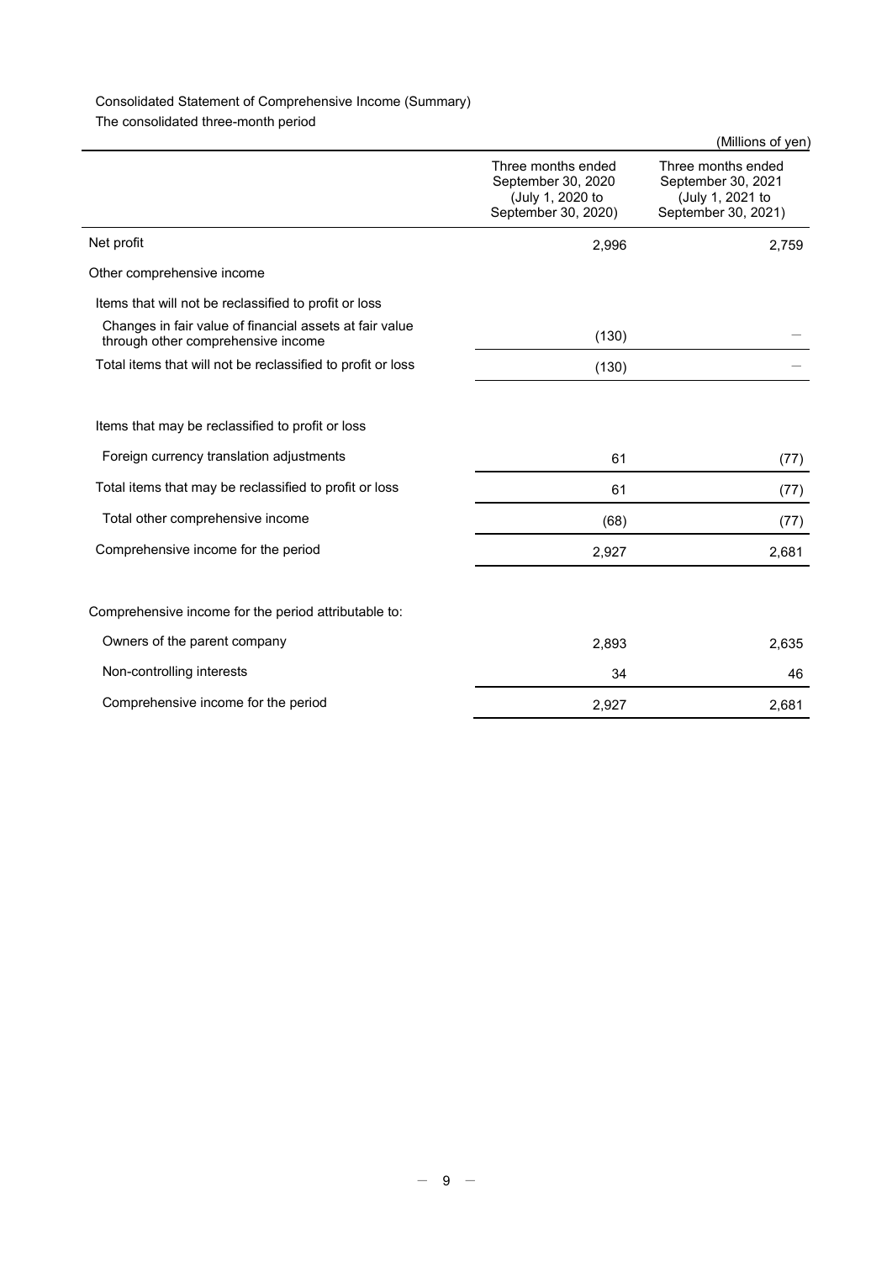# Consolidated Statement of Comprehensive Income (Summary)

The consolidated three-month period

|                                                                                               |                                                                                     | (Millions of yen)                                                                   |
|-----------------------------------------------------------------------------------------------|-------------------------------------------------------------------------------------|-------------------------------------------------------------------------------------|
|                                                                                               | Three months ended<br>September 30, 2020<br>(July 1, 2020 to<br>September 30, 2020) | Three months ended<br>September 30, 2021<br>(July 1, 2021 to<br>September 30, 2021) |
| Net profit                                                                                    | 2,996                                                                               | 2,759                                                                               |
| Other comprehensive income                                                                    |                                                                                     |                                                                                     |
| Items that will not be reclassified to profit or loss                                         |                                                                                     |                                                                                     |
| Changes in fair value of financial assets at fair value<br>through other comprehensive income | (130)                                                                               |                                                                                     |
| Total items that will not be reclassified to profit or loss                                   | (130)                                                                               |                                                                                     |
|                                                                                               |                                                                                     |                                                                                     |
| Items that may be reclassified to profit or loss                                              |                                                                                     |                                                                                     |
| Foreign currency translation adjustments                                                      | 61                                                                                  | (77)                                                                                |
| Total items that may be reclassified to profit or loss                                        | 61                                                                                  | (77)                                                                                |
| Total other comprehensive income                                                              | (68)                                                                                | (77)                                                                                |
| Comprehensive income for the period                                                           | 2,927                                                                               | 2,681                                                                               |
|                                                                                               |                                                                                     |                                                                                     |
| Comprehensive income for the period attributable to:                                          |                                                                                     |                                                                                     |
| Owners of the parent company                                                                  | 2,893                                                                               | 2,635                                                                               |
| Non-controlling interests                                                                     | 34                                                                                  | 46                                                                                  |
| Comprehensive income for the period                                                           | 2,927                                                                               | 2,681                                                                               |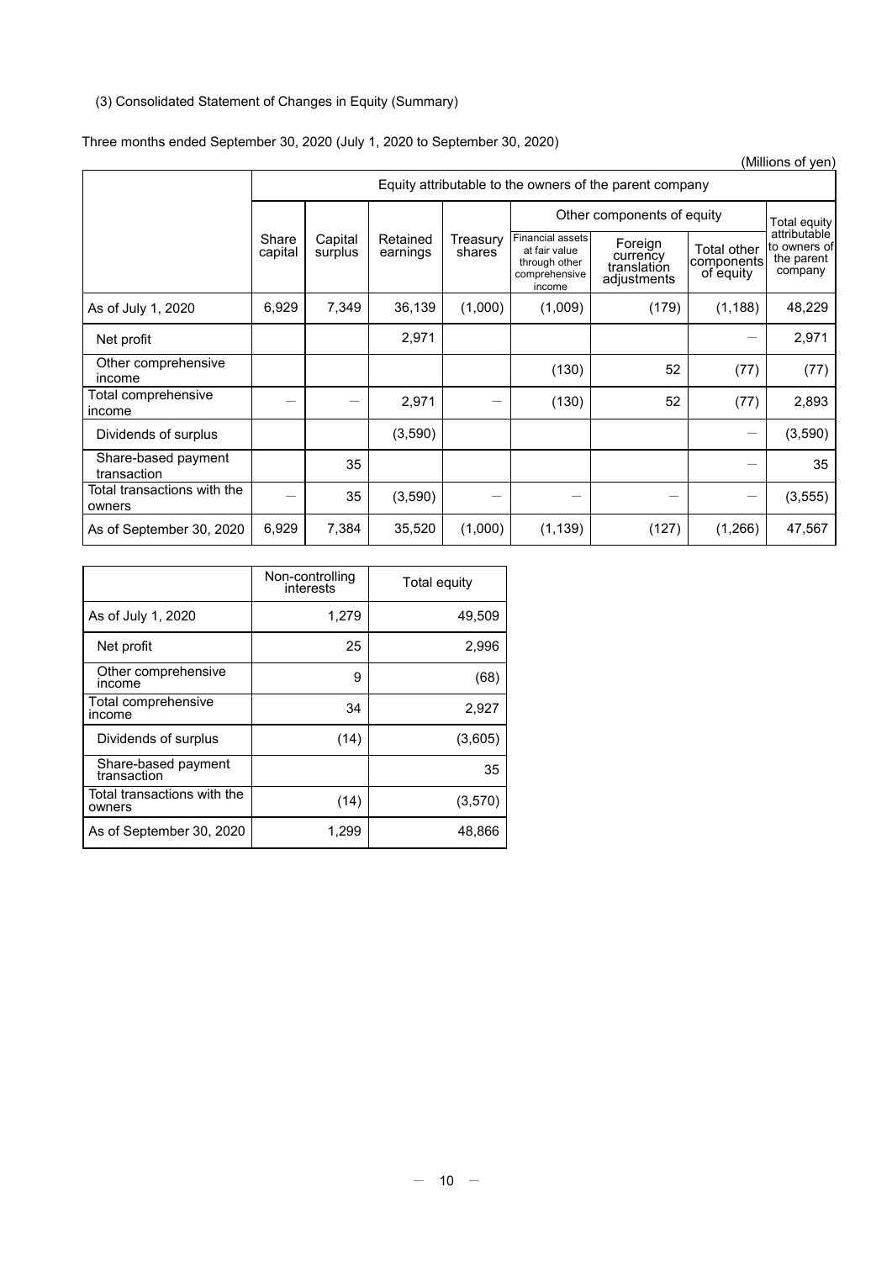# (3) Consolidated Statement of Changes in Equity (Summary)

## Three months ended September 30, 2020 (July 1, 2020 to September 30, 2020)

|                                       | (Millions of yen) |                                                         |                      |                                 |                                                                               |                                                   |                                        |                                                       |
|---------------------------------------|-------------------|---------------------------------------------------------|----------------------|---------------------------------|-------------------------------------------------------------------------------|---------------------------------------------------|----------------------------------------|-------------------------------------------------------|
|                                       |                   | Equity attributable to the owners of the parent company |                      |                                 |                                                                               |                                                   |                                        |                                                       |
|                                       |                   |                                                         |                      |                                 | Other components of equity                                                    | Total equity                                      |                                        |                                                       |
|                                       | Share<br>capital  | Capital<br>surplus                                      | Retained<br>earnings | Treasury<br>shares <sup>-</sup> | Financial assets<br>at fair value<br>through other<br>comprehensive<br>income | Foreign<br>currency<br>translation<br>adjustments | Total other<br>components<br>of equity | attributable<br>to owners of<br>the parent<br>company |
| As of July 1, 2020                    | 6,929             | 7,349                                                   | 36,139               | (1,000)                         | (1,009)                                                                       | (179)                                             | (1, 188)                               | 48,229                                                |
| Net profit                            |                   |                                                         | 2,971                |                                 |                                                                               |                                                   | —                                      | 2,971                                                 |
| Other comprehensive<br>income         |                   |                                                         |                      |                                 | (130)                                                                         | 52                                                | (77)                                   | (77)                                                  |
| Total comprehensive<br>income         |                   |                                                         | 2,971                |                                 | (130)                                                                         | 52                                                | (77)                                   | 2,893                                                 |
| Dividends of surplus                  |                   |                                                         | (3,590)              |                                 |                                                                               |                                                   | —                                      | (3,590)                                               |
| Share-based payment<br>transaction    |                   | 35                                                      |                      |                                 |                                                                               |                                                   |                                        | 35                                                    |
| Total transactions with the<br>owners |                   | 35                                                      | (3,590)              |                                 |                                                                               |                                                   | —                                      | (3, 555)                                              |
| As of September 30, 2020              | 6,929             | 7,384                                                   | 35,520               | (1,000)                         | (1, 139)                                                                      | (127)                                             | (1,266)                                | 47,567                                                |

|                                       | Non-controlling<br>interests | Total equity |
|---------------------------------------|------------------------------|--------------|
| As of July 1, 2020                    | 1,279                        | 49,509       |
| Net profit                            | 25                           | 2,996        |
| Other comprehensive<br>income         | 9                            | (68)         |
| Total comprehensive<br>income         | 34                           | 2,927        |
| Dividends of surplus                  | (14)                         | (3,605)      |
| Share-based payment<br>transaction    |                              | 35           |
| Total transactions with the<br>owners | (14)                         | (3,570)      |
| As of September 30, 2020              | 1,299                        | 48,866       |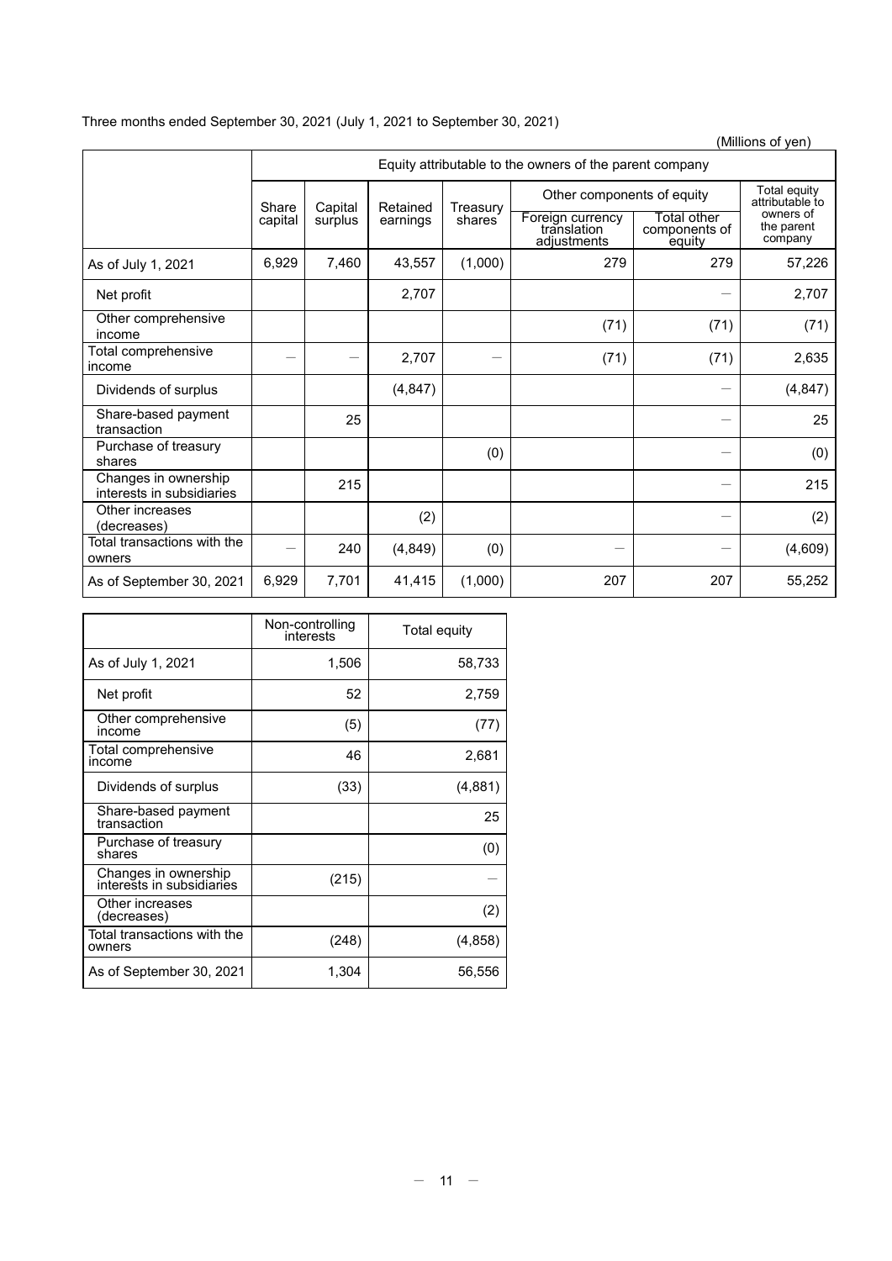# Three months ended September 30, 2021 (July 1, 2021 to September 30, 2021)

|                                                   |         |                                                         |          |                     |                                                |                                        | (Millions of yen)                                                     |  |
|---------------------------------------------------|---------|---------------------------------------------------------|----------|---------------------|------------------------------------------------|----------------------------------------|-----------------------------------------------------------------------|--|
|                                                   |         | Equity attributable to the owners of the parent company |          |                     |                                                |                                        |                                                                       |  |
|                                                   | Share   | Capital                                                 | Retained | Treasury            | Other components of equity                     |                                        | Total equity<br>attributable to<br>owners of<br>the parent<br>company |  |
|                                                   | capital | surplus                                                 | earnings | shares <sup>7</sup> | Foreign currency<br>translation<br>adjustments | Total other<br>components of<br>equity |                                                                       |  |
| As of July 1, 2021                                | 6,929   | 7,460                                                   | 43,557   | (1,000)             | 279                                            | 279                                    | 57,226                                                                |  |
| Net profit                                        |         |                                                         | 2,707    |                     |                                                |                                        | 2,707                                                                 |  |
| Other comprehensive<br>income                     |         |                                                         |          |                     | (71)                                           | (71)                                   | (71)                                                                  |  |
| Total comprehensive<br>income                     |         |                                                         | 2,707    |                     | (71)                                           | (71)                                   | 2,635                                                                 |  |
| Dividends of surplus                              |         |                                                         | (4, 847) |                     |                                                |                                        | (4, 847)                                                              |  |
| Share-based payment<br>transaction                |         | 25                                                      |          |                     |                                                |                                        | 25                                                                    |  |
| Purchase of treasury<br>shares                    |         |                                                         |          | (0)                 |                                                |                                        | (0)                                                                   |  |
| Changes in ownership<br>interests in subsidiaries |         | 215                                                     |          |                     |                                                |                                        | 215                                                                   |  |
| Other increases<br>(decreases)                    |         |                                                         | (2)      |                     |                                                |                                        | (2)                                                                   |  |
| Total transactions with the<br>owners             |         | 240                                                     | (4, 849) | (0)                 |                                                |                                        | (4,609)                                                               |  |
| As of September 30, 2021                          | 6,929   | 7,701                                                   | 41,415   | (1,000)             | 207                                            | 207                                    | 55,252                                                                |  |

|                                                   | Non-controlling<br>interests | Total equity |
|---------------------------------------------------|------------------------------|--------------|
| As of July 1, 2021                                | 1,506                        | 58,733       |
| Net profit                                        | 52                           | 2,759        |
| Other comprehensive<br>income                     | (5)                          | (77)         |
| Total comprehensive<br>income                     | 46                           | 2,681        |
| Dividends of surplus                              | (33)                         | (4,881)      |
| Share-based payment<br>transaction                |                              | 25           |
| Purchase of treasury<br>shares                    |                              | (0)          |
| Changes in ownership<br>interests in subsidiaries | (215)                        |              |
| Other increases<br>(decreases)                    |                              | (2)          |
| Total transactions with the<br>owners             | (248)                        | (4,858)      |
| As of September 30, 2021                          | 1,304                        | 56,556       |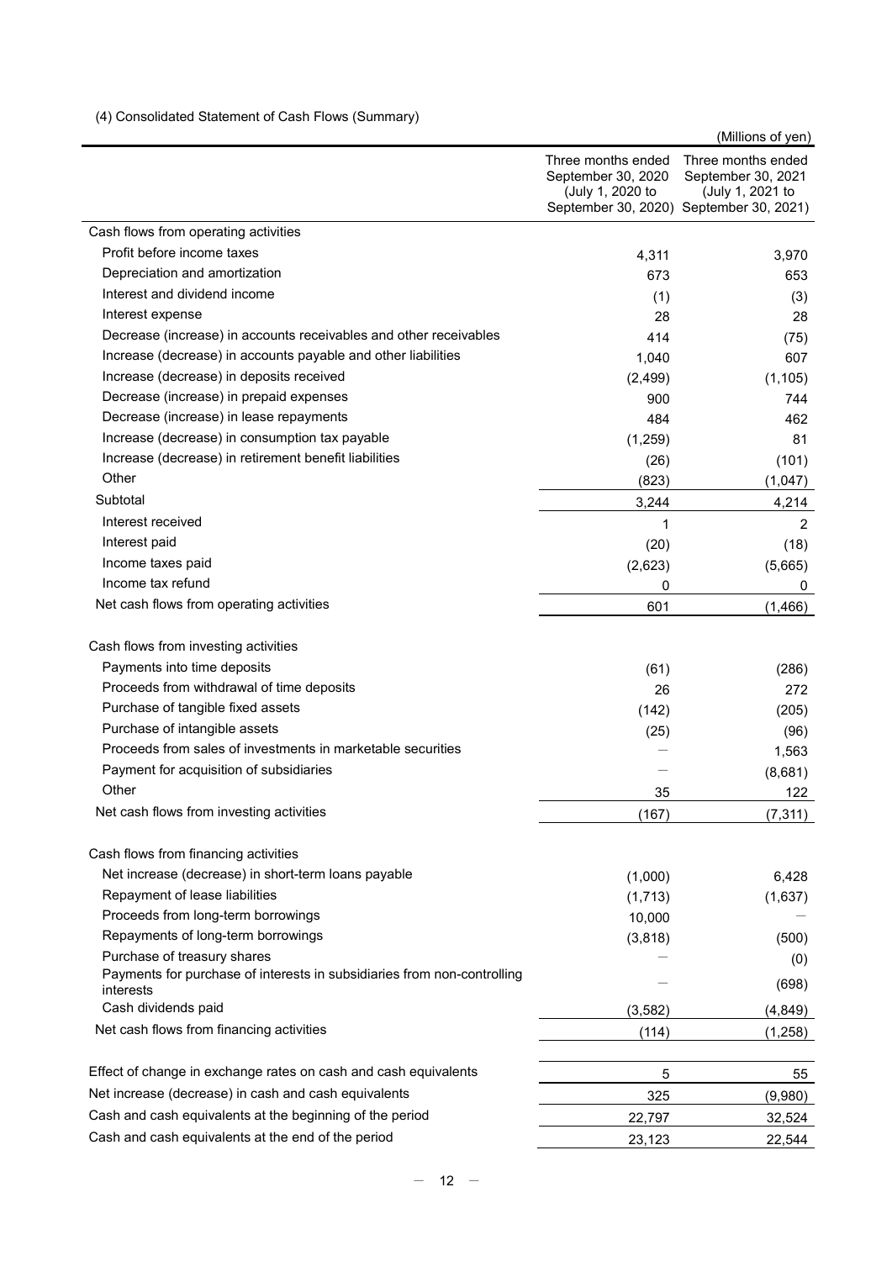(4) Consolidated Statement of Cash Flows (Summary)

 (Millions of yen) Three months ended September 30, 2020 (July 1, 2020 to September 30, 2020) September 30, 2021) Three months ended September 30, 2021 (July 1, 2021 to Cash flows from operating activities Profit before income taxes 3,970 Depreciation and amortization 673 653 Interest and dividend income (3) (3) Interest expense 28 28 Decrease (increase) in accounts receivables and other receivables 414 (75) Increase (decrease) in accounts payable and other liabilities 1,040 607 Increase (decrease) in deposits received (2,499) (2,499) (1,105) Decrease (increase) in prepaid expenses 900 744 Decrease (increase) in lease repayments 484 462 Increase (decrease) in consumption tax payable (1,259) (1,259) Increase (decrease) in retirement benefit liabilities (26) (101) Other (823) (1,047)  $\rm Subtotal$   $\rm 4.214$ Interest received 2 Interest paid (20) (18)  $I$ ncome taxes paid  $(2,623)$  (5,665) Income tax refund 0 0 Net cash flows from operating activities example and the set of the cash flows from operating activities of the contract of the contract of the contract of the contract of the contract of the contract of the contract of th Cash flows from investing activities Payments into time deposits and the contract of the contract of the contract of the contract of the contract of the contract of the contract of the contract of the contract of the contract of the contract of the contract o Proceeds from withdrawal of time deposits 272 Purchase of tangible fixed assets (205) (205) Purchase of intangible assets (96) (96) (96) Proceeds from sales of investments in marketable securities and the state of 1,563 Payment for acquisition of subsidiaries and the set of the set of the set of the set of the set of the set of the set of the set of the set of the set of the set of the set of the set of the set of the set of the set of th Other 35 122 Net cash flows from investing activities (167) (7,311) Cash flows from financing activities Net increase (decrease) in short-term loans payable (1,000) (1,000) 6,428 Repayment of lease liabilities (1,637) (1,637) Proceeds from long-term borrowings 10,000  $\sim$  10,000  $\sim$ Repayments of long-term borrowings and the set of the set of the set of the set of the set of the set of the set of the set of the set of the set of the set of the set of the set of the set of the set of the set of the set Purchase of treasury shares  $(-\infty, 0)$ Payments for purchase of interests in subsidiaries from non-controlling (698)<br>interests Cash dividends paid (4,849) Net cash flows from financing activities (114) (1,258) Effect of change in exchange rates on cash and cash equivalents 5 55 Net increase (decrease) in cash and cash equivalents 325 (9,980) Cash and cash equivalents at the beginning of the period 22,797 22,797 32,524 Cash and cash equivalents at the end of the period 23,123 22,544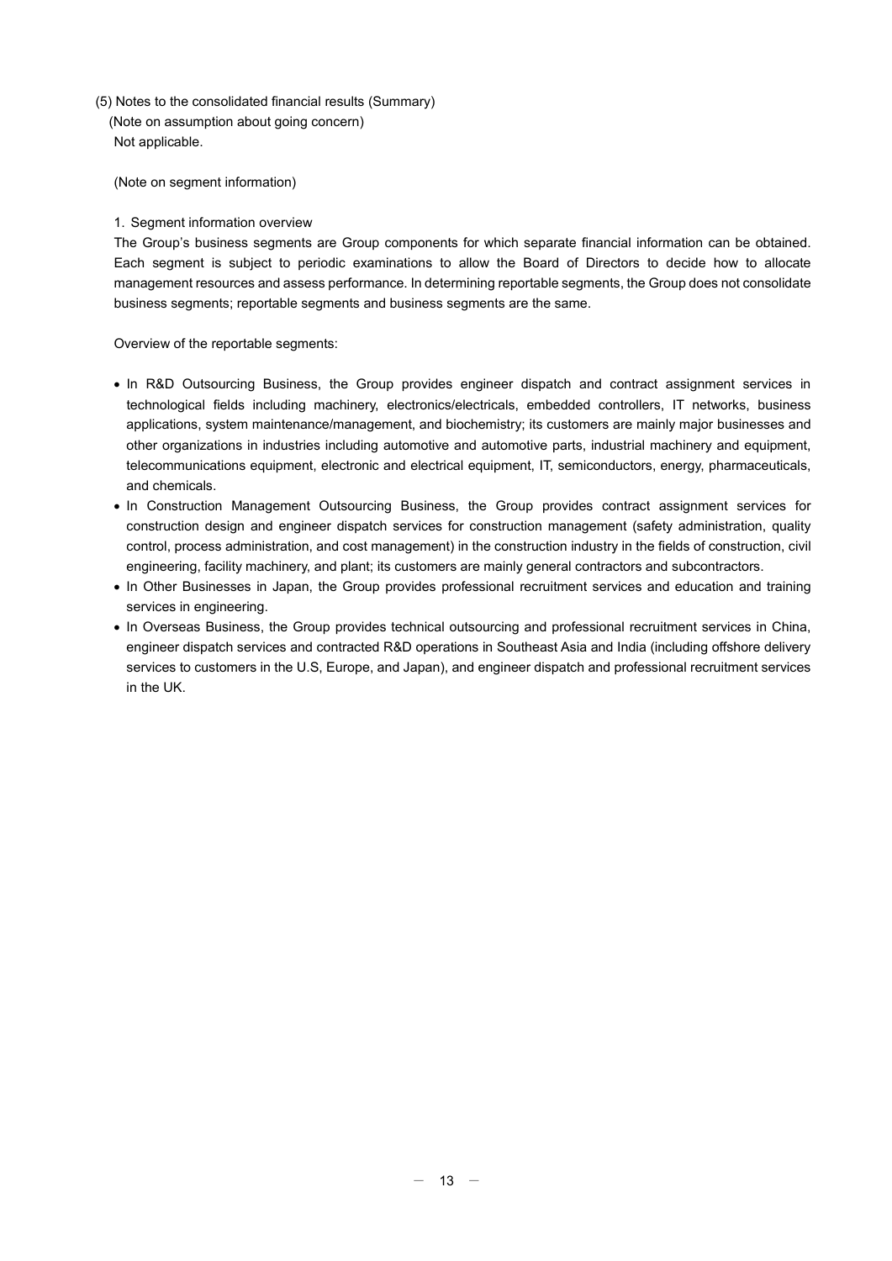- (5) Notes to the consolidated financial results (Summary)
	- (Note on assumption about going concern) Not applicable.

(Note on segment information)

## 1. Segment information overview

The Group's business segments are Group components for which separate financial information can be obtained. Each segment is subject to periodic examinations to allow the Board of Directors to decide how to allocate management resources and assess performance. In determining reportable segments, the Group does not consolidate business segments; reportable segments and business segments are the same.

Overview of the reportable segments:

- In R&D Outsourcing Business, the Group provides engineer dispatch and contract assignment services in technological fields including machinery, electronics/electricals, embedded controllers, IT networks, business applications, system maintenance/management, and biochemistry; its customers are mainly major businesses and other organizations in industries including automotive and automotive parts, industrial machinery and equipment, telecommunications equipment, electronic and electrical equipment, IT, semiconductors, energy, pharmaceuticals, and chemicals.
- In Construction Management Outsourcing Business, the Group provides contract assignment services for construction design and engineer dispatch services for construction management (safety administration, quality control, process administration, and cost management) in the construction industry in the fields of construction, civil engineering, facility machinery, and plant; its customers are mainly general contractors and subcontractors.
- In Other Businesses in Japan, the Group provides professional recruitment services and education and training services in engineering.
- In Overseas Business, the Group provides technical outsourcing and professional recruitment services in China, engineer dispatch services and contracted R&D operations in Southeast Asia and India (including offshore delivery services to customers in the U.S, Europe, and Japan), and engineer dispatch and professional recruitment services in the UK.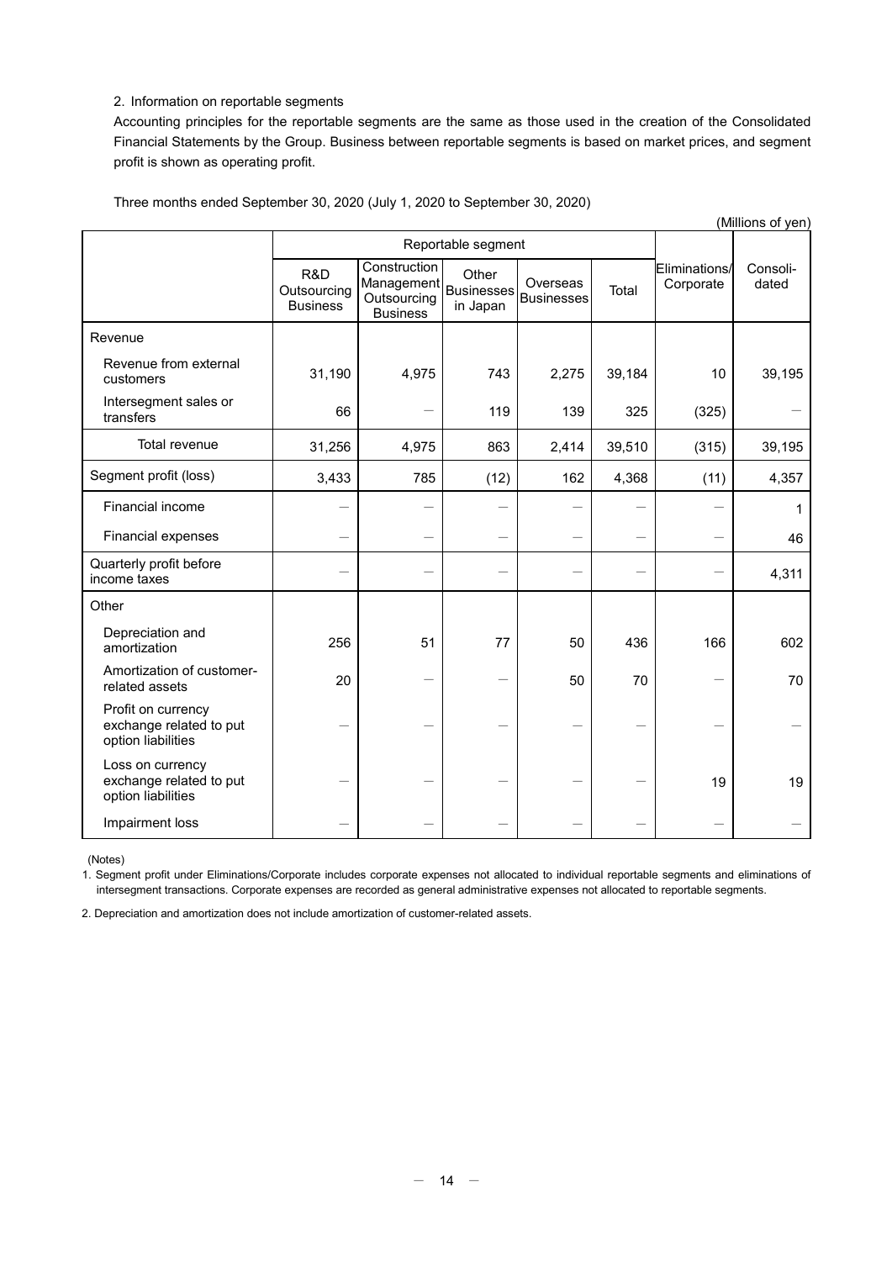## 2. Information on reportable segments

Accounting principles for the reportable segments are the same as those used in the creation of the Consolidated Financial Statements by the Group. Business between reportable segments is based on market prices, and segment profit is shown as operating profit.

| (Millions of yen)                                                   |                                       |                                                              |                                        |                               |        |                            |                   |
|---------------------------------------------------------------------|---------------------------------------|--------------------------------------------------------------|----------------------------------------|-------------------------------|--------|----------------------------|-------------------|
|                                                                     |                                       | Reportable segment                                           |                                        |                               |        |                            |                   |
|                                                                     | R&D<br>Outsourcing<br><b>Business</b> | Construction<br>Management<br>Outsourcing<br><b>Business</b> | Other<br><b>Businesses</b><br>in Japan | Overseas<br><b>Businesses</b> | Total  | Eliminations/<br>Corporate | Consoli-<br>dated |
| Revenue                                                             |                                       |                                                              |                                        |                               |        |                            |                   |
| Revenue from external<br>customers                                  | 31,190                                | 4,975                                                        | 743                                    | 2,275                         | 39,184 | 10                         | 39,195            |
| Intersegment sales or<br>transfers                                  | 66                                    |                                                              | 119                                    | 139                           | 325    | (325)                      |                   |
| Total revenue                                                       | 31,256                                | 4,975                                                        | 863                                    | 2,414                         | 39,510 | (315)                      | 39,195            |
| Segment profit (loss)                                               | 3,433                                 | 785                                                          | (12)                                   | 162                           | 4,368  | (11)                       | 4,357             |
| Financial income                                                    |                                       |                                                              |                                        |                               |        |                            | 1                 |
| <b>Financial expenses</b>                                           |                                       |                                                              |                                        |                               |        |                            | 46                |
| Quarterly profit before<br>income taxes                             |                                       |                                                              |                                        |                               |        |                            | 4,311             |
| Other                                                               |                                       |                                                              |                                        |                               |        |                            |                   |
| Depreciation and<br>amortization                                    | 256                                   | 51                                                           | 77                                     | 50                            | 436    | 166                        | 602               |
| Amortization of customer-<br>related assets                         | 20                                    |                                                              |                                        | 50                            | 70     |                            | 70                |
| Profit on currency<br>exchange related to put<br>option liabilities |                                       |                                                              |                                        |                               |        |                            |                   |
| Loss on currency<br>exchange related to put<br>option liabilities   |                                       |                                                              |                                        |                               |        | 19                         | 19                |
| Impairment loss                                                     |                                       |                                                              |                                        |                               |        |                            |                   |

Three months ended September 30, 2020 (July 1, 2020 to September 30, 2020)

(Notes)

1. Segment profit under Eliminations/Corporate includes corporate expenses not allocated to individual reportable segments and eliminations of intersegment transactions. Corporate expenses are recorded as general administrative expenses not allocated to reportable segments.

2. Depreciation and amortization does not include amortization of customer-related assets.